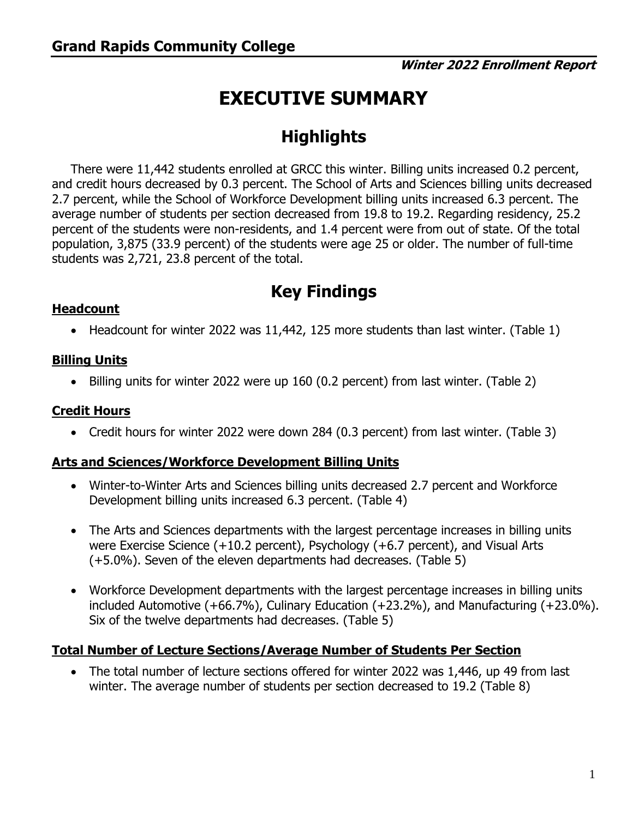# **EXECUTIVE SUMMARY**

## **Highlights**

There were 11,442 students enrolled at GRCC this winter. Billing units increased 0.2 percent, and credit hours decreased by 0.3 percent. The School of Arts and Sciences billing units decreased 2.7 percent, while the School of Workforce Development billing units increased 6.3 percent. The average number of students per section decreased from 19.8 to 19.2. Regarding residency, 25.2 percent of the students were non-residents, and 1.4 percent were from out of state. Of the total population, 3,875 (33.9 percent) of the students were age 25 or older. The number of full-time students was 2,721, 23.8 percent of the total.

### **Key Findings**

#### **Headcount**

• Headcount for winter 2022 was 11,442, 125 more students than last winter. (Table 1)

#### **Billing Units**

• Billing units for winter 2022 were up 160 (0.2 percent) from last winter. (Table 2)

#### **Credit Hours**

• Credit hours for winter 2022 were down 284 (0.3 percent) from last winter. (Table 3)

#### **Arts and Sciences/Workforce Development Billing Units**

- Winter-to-Winter Arts and Sciences billing units decreased 2.7 percent and Workforce Development billing units increased 6.3 percent. (Table 4)
- The Arts and Sciences departments with the largest percentage increases in billing units were Exercise Science (+10.2 percent), Psychology (+6.7 percent), and Visual Arts (+5.0%). Seven of the eleven departments had decreases. (Table 5)
- included Automotive (+66.7%), Culinary Education (+23.2%), and Manufacturing (+23.0%).<br>Six of the twelve departments had decreases. (Table 5) • Workforce Development departments with the largest percentage increases in billing units

#### **Total Number of Lecture Sections/Average Number of Students Per Section**

• The total number of lecture sections offered for winter 2022 was 1,446, up 49 from last winter. The average number of students per section decreased to 19.2 (Table 8)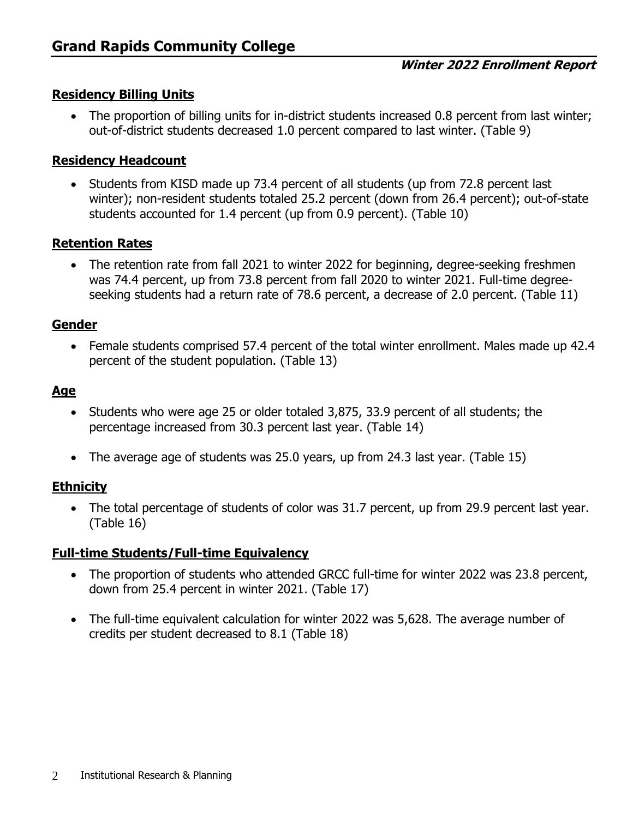#### **Residency Billing Units**

• The proportion of billing units for in-district students increased 0.8 percent from last winter; out-of-district students decreased 1.0 percent compared to last winter. (Table 9)

#### **Residency Headcount**

• Students from KISD made up 73.4 percent of all students (up from 72.8 percent last winter); non-resident students totaled 25.2 percent (down from 26.4 percent); out-of-state students accounted for 1.4 percent (up from 0.9 percent). (Table 10)

#### **Retention Rates**

• The retention rate from fall 2021 to winter 2022 for beginning, degree-seeking freshmen was 74.4 percent, up from 73.8 percent from fall 2020 to winter 2021. Full-time degreeseeking students had a return rate of 78.6 percent, a decrease of 2.0 percent. (Table 11)

#### **Gender**

• Female students comprised 57.4 percent of the total winter enrollment. Males made up 42.4 percent of the student population. (Table 13)

#### **Age**

- Students who were age 25 or older totaled 3,875, 33.9 percent of all students; the percentage increased from 30.3 percent last year. (Table 14)
- The average age of students was 25.0 years, up from 24.3 last year. (Table 15)

#### **Ethnicity**

• The total percentage of students of color was 31.7 percent, up from 29.9 percent last year. (Table 16)

#### **Full-time Students/Full-time Equivalency**

- The proportion of students who attended GRCC full-time for winter 2022 was 23.8 percent, down from 25.4 percent in winter 2021. (Table 17)
- The full-time equivalent calculation for winter 2022 was 5,628. The average number of credits per student decreased to 8.1 (Table 18)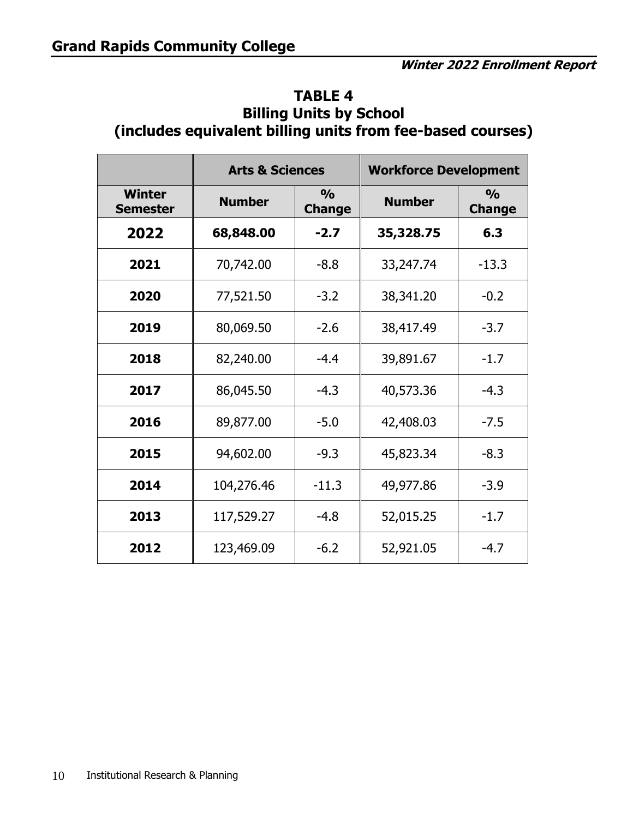| (includes equivalent billing units from fee-based courses) |                                                 |        |                              |                                |  |  |  |  |  |  |  |
|------------------------------------------------------------|-------------------------------------------------|--------|------------------------------|--------------------------------|--|--|--|--|--|--|--|
|                                                            | <b>Arts &amp; Sciences</b>                      |        | <b>Workforce Development</b> |                                |  |  |  |  |  |  |  |
| <b>Winter</b><br><b>Semester</b>                           | $\frac{0}{0}$<br><b>Number</b><br><b>Change</b> |        | <b>Number</b>                | $\frac{0}{0}$<br><b>Change</b> |  |  |  |  |  |  |  |
| 2022                                                       | 68,848.00                                       | $-2.7$ | 35,328.75                    | 6.3                            |  |  |  |  |  |  |  |
| 2021                                                       | 70,742.00                                       | $-8.8$ | 33,247.74                    | $-13.3$                        |  |  |  |  |  |  |  |
| 2020                                                       | 77,521.50                                       | $-3.2$ | 38,341.20                    | $-0.2$                         |  |  |  |  |  |  |  |
| 2019                                                       | 80,069.50                                       | $-2.6$ | 38,417.49                    | $-3.7$                         |  |  |  |  |  |  |  |
| 2018                                                       | 82,240.00                                       | $-4.4$ | 39,891.67                    | $-1.7$                         |  |  |  |  |  |  |  |
| 2017                                                       | 86,045.50                                       | $-4.3$ | 40,573.36                    | $-4.3$                         |  |  |  |  |  |  |  |
| 2016                                                       | 89,877.00                                       | $-5.0$ | 42,408.03                    | $-7.5$                         |  |  |  |  |  |  |  |
| 2015                                                       | 94,602.00                                       | $-9.3$ | 45,823.34                    | $-8.3$                         |  |  |  |  |  |  |  |

**2014** 104,276.46 -11.3 49,977.86 -3.9

**2013** 117,529.27 -4.8 52,015.25 -1.7

**2012** 123,469.09 -6.2 52,921.05 -4.7

# **TABLE 4 Billing Units by School**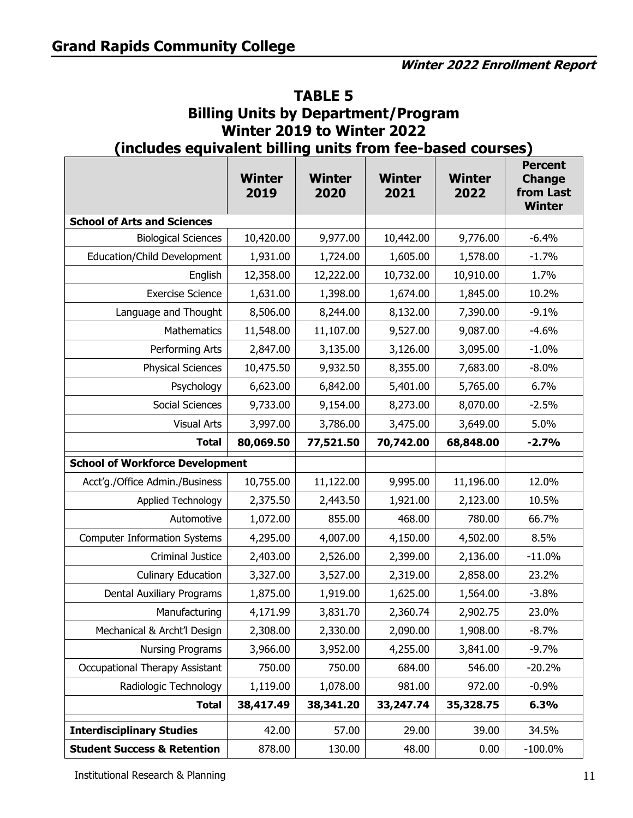| Winter 2019 to Winter 2022<br>(includes equivalent billing units from fee-based courses) |                       |                       |                |                |                                                               |  |  |  |  |  |  |
|------------------------------------------------------------------------------------------|-----------------------|-----------------------|----------------|----------------|---------------------------------------------------------------|--|--|--|--|--|--|
|                                                                                          | <b>Winter</b><br>2019 | <b>Winter</b><br>2020 | Winter<br>2021 | Winter<br>2022 | <b>Percent</b><br><b>Change</b><br>from Last<br><b>Winter</b> |  |  |  |  |  |  |
| <b>School of Arts and Sciences</b>                                                       |                       |                       |                |                |                                                               |  |  |  |  |  |  |
| <b>Biological Sciences</b>                                                               | 10,420.00             | 9,977.00              | 10,442.00      | 9,776.00       | $-6.4%$                                                       |  |  |  |  |  |  |
| Education/Child Development                                                              | 1,931.00              | 1,724.00              | 1,605.00       | 1,578.00       | $-1.7%$                                                       |  |  |  |  |  |  |
| English                                                                                  | 12,358.00             | 12,222.00             | 10,732.00      | 10,910.00      | 1.7%                                                          |  |  |  |  |  |  |
| <b>Exercise Science</b>                                                                  | 1,631.00              | 1,398.00              | 1,674.00       | 1,845.00       | 10.2%                                                         |  |  |  |  |  |  |
| Language and Thought                                                                     | 8,506.00              | 8,244.00              | 8,132.00       | 7,390.00       | $-9.1%$                                                       |  |  |  |  |  |  |
| Mathematics                                                                              | 11,548.00             | 11,107.00             | 9,527.00       | 9,087.00       | $-4.6%$                                                       |  |  |  |  |  |  |
| Performing Arts                                                                          | 2,847.00              | 3,135.00              | 3,126.00       | 3,095.00       | $-1.0%$                                                       |  |  |  |  |  |  |
| <b>Physical Sciences</b>                                                                 | 10,475.50             | 9,932.50              | 8,355.00       | 7,683.00       | $-8.0%$                                                       |  |  |  |  |  |  |
| Psychology                                                                               | 6,623.00              | 6,842.00              | 5,401.00       | 5,765.00       | 6.7%                                                          |  |  |  |  |  |  |
| Social Sciences                                                                          | 9,733.00              | 9,154.00              | 8,273.00       | 8,070.00       | $-2.5%$                                                       |  |  |  |  |  |  |
| <b>Visual Arts</b>                                                                       | 3,997.00              | 3,786.00              | 3,475.00       | 3,649.00       | 5.0%                                                          |  |  |  |  |  |  |
| <b>Total</b>                                                                             | 80,069.50             | 77,521.50             | 70,742.00      | 68,848.00      | $-2.7%$                                                       |  |  |  |  |  |  |
| <b>School of Workforce Development</b>                                                   |                       |                       |                |                |                                                               |  |  |  |  |  |  |
| Acct'g./Office Admin./Business                                                           | 10,755.00             | 11,122.00             | 9,995.00       | 11,196.00      | 12.0%                                                         |  |  |  |  |  |  |
| Applied Technology                                                                       | 2,375.50              | 2,443.50              | 1,921.00       | 2,123.00       | 10.5%                                                         |  |  |  |  |  |  |
| Automotive                                                                               | 1,072.00              | 855.00                | 468.00         | 780.00         | 66.7%                                                         |  |  |  |  |  |  |
| <b>Computer Information Systems</b>                                                      | 4,295.00              | 4,007.00              | 4,150.00       | 4,502.00       | 8.5%                                                          |  |  |  |  |  |  |
| <b>Criminal Justice</b>                                                                  | 2,403.00              | 2,526.00              | 2,399.00       | 2,136.00       | $-11.0%$                                                      |  |  |  |  |  |  |
| <b>Culinary Education</b>                                                                | 3,327.00              | 3,527.00              | 2,319.00       | 2,858.00       | 23.2%                                                         |  |  |  |  |  |  |
| Dental Auxiliary Programs                                                                | 1,875.00              | 1,919.00              | 1,625.00       | 1,564.00       | $-3.8\%$                                                      |  |  |  |  |  |  |
| Manufacturing                                                                            | 4,171.99              | 3,831.70              | 2,360.74       | 2,902.75       | 23.0%                                                         |  |  |  |  |  |  |
| Mechanical & Archt'l Design                                                              | 2,308.00              | 2,330.00              | 2,090.00       | 1,908.00       | $-8.7%$                                                       |  |  |  |  |  |  |
| <b>Nursing Programs</b>                                                                  | 3,966.00              | 3,952.00              | 4,255.00       | 3,841.00       | $-9.7%$                                                       |  |  |  |  |  |  |
| Occupational Therapy Assistant                                                           | 750.00                | 750.00                | 684.00         | 546.00         | $-20.2%$                                                      |  |  |  |  |  |  |
| Radiologic Technology                                                                    | 1,119.00              | 1,078.00              | 981.00         | 972.00         | $-0.9%$                                                       |  |  |  |  |  |  |
| <b>Total</b>                                                                             | 38,417.49             | 38,341.20             | 33,247.74      | 35,328.75      | 6.3%                                                          |  |  |  |  |  |  |
| <b>Interdisciplinary Studies</b>                                                         | 42.00                 | 57.00                 | 29.00          | 39.00          | 34.5%                                                         |  |  |  |  |  |  |
| <b>Student Success &amp; Retention</b>                                                   | 878.00                | 130.00                | 48.00          | 0.00           | $-100.0\%$                                                    |  |  |  |  |  |  |

## **TABLE 5 Billing Units by Department/Program Winter 2019 to Winter 2022**

Institutional Research & Planning 11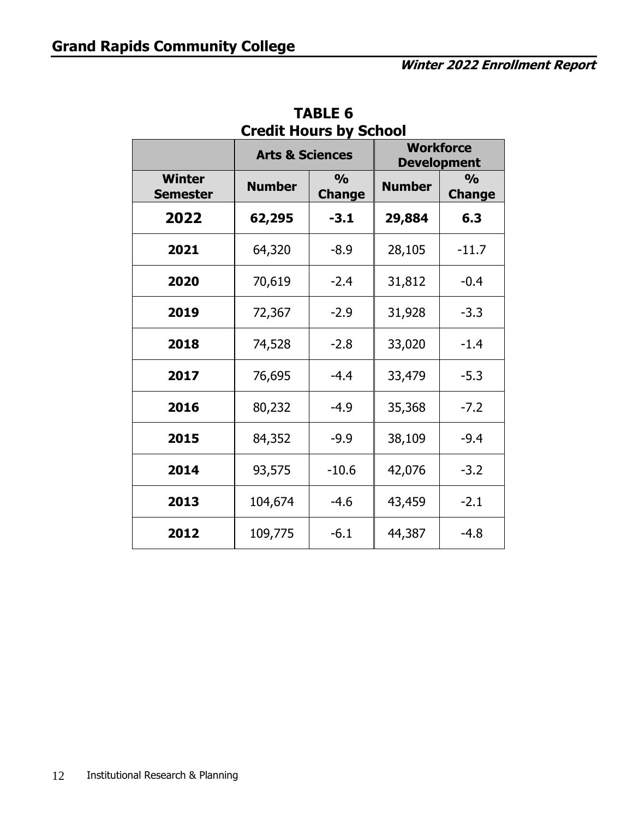|                                  | Cicult Hould by School<br><b>Arts &amp; Sciences</b> |                                |               | <b>Workforce</b><br><b>Development</b> |
|----------------------------------|------------------------------------------------------|--------------------------------|---------------|----------------------------------------|
| <b>Winter</b><br><b>Semester</b> | <b>Number</b>                                        | $\frac{0}{0}$<br><b>Change</b> | <b>Number</b> | $\frac{0}{0}$<br><b>Change</b>         |
| 2022                             | 62,295                                               | $-3.1$                         | 29,884        | 6.3                                    |
| 2021                             | 64,320                                               | $-8.9$                         | 28,105        | $-11.7$                                |
| 2020                             | 70,619                                               | $-2.4$                         | 31,812        | $-0.4$                                 |
| 2019                             | 72,367                                               | $-2.9$                         | 31,928        | $-3.3$                                 |
| 2018                             | 74,528                                               | $-2.8$                         | 33,020        | $-1.4$                                 |
| 2017                             | 76,695                                               | $-4.4$                         | 33,479        | $-5.3$                                 |
| 2016                             | 80,232                                               | $-4.9$                         | 35,368        | $-7.2$                                 |
| 2015                             | 84,352                                               | $-9.9$                         | 38,109        | $-9.4$                                 |
| 2014                             | 93,575                                               | $-10.6$                        | 42,076        | $-3.2$                                 |
| 2013                             | 104,674                                              | $-4.6$                         | 43,459        | $-2.1$                                 |
| 2012                             | 109,775                                              | $-6.1$                         | 44,387        | $-4.8$                                 |

**TABLE 6 Credit Hours by School**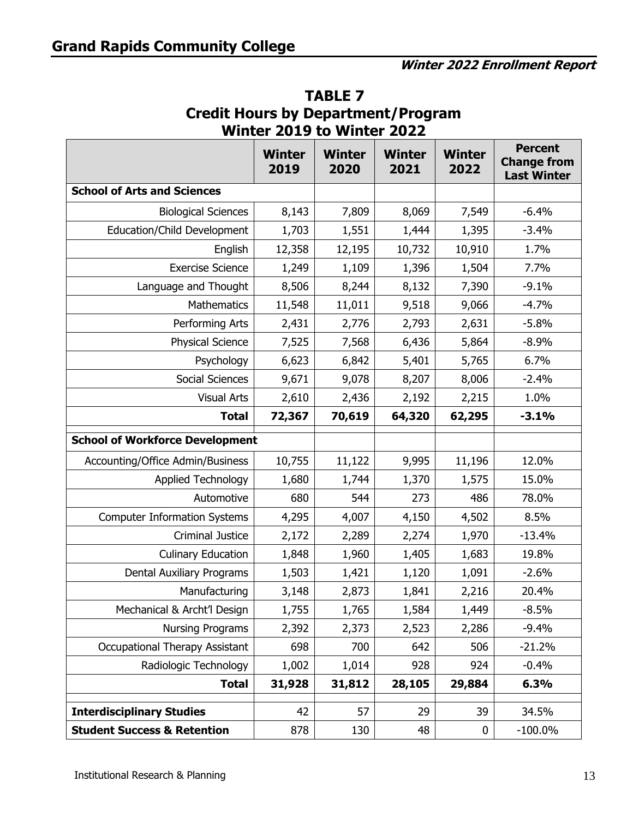|                                        | <b>Winter</b><br>2019 | <b>Winter</b><br>2020 | <b>Winter</b><br>2021 | <b>Winter</b><br>2022 | <b>Percent</b><br><b>Change from</b><br><b>Last Winter</b> |
|----------------------------------------|-----------------------|-----------------------|-----------------------|-----------------------|------------------------------------------------------------|
| <b>School of Arts and Sciences</b>     |                       |                       |                       |                       |                                                            |
| <b>Biological Sciences</b>             | 8,143                 | 7,809                 | 8,069                 | 7,549                 | $-6.4%$                                                    |
| Education/Child Development            | 1,703                 | 1,551                 | 1,444                 | 1,395                 | $-3.4%$                                                    |
| English                                | 12,358                | 12,195                | 10,732                | 10,910                | 1.7%                                                       |
| <b>Exercise Science</b>                | 1,249                 | 1,109                 | 1,396                 | 1,504                 | 7.7%                                                       |
| Language and Thought                   | 8,506                 | 8,244                 | 8,132                 | 7,390                 | $-9.1%$                                                    |
| <b>Mathematics</b>                     | 11,548                | 11,011                | 9,518                 | 9,066                 | $-4.7%$                                                    |
| Performing Arts                        | 2,431                 | 2,776                 | 2,793                 | 2,631                 | $-5.8%$                                                    |
| <b>Physical Science</b>                | 7,525                 | 7,568                 | 6,436                 | 5,864                 | $-8.9%$                                                    |
| Psychology                             | 6,623                 | 6,842                 | 5,401                 | 5,765                 | 6.7%                                                       |
| <b>Social Sciences</b>                 | 9,671                 | 9,078                 | 8,207                 | 8,006                 | $-2.4%$                                                    |
| <b>Visual Arts</b>                     | 2,610                 | 2,436                 | 2,192                 | 2,215                 | 1.0%                                                       |
| <b>Total</b>                           | 72,367                | 70,619                | 64,320                | 62,295                | $-3.1%$                                                    |
| <b>School of Workforce Development</b> |                       |                       |                       |                       |                                                            |
| Accounting/Office Admin/Business       | 10,755                | 11,122                | 9,995                 | 11,196                | 12.0%                                                      |
| <b>Applied Technology</b>              | 1,680                 | 1,744                 | 1,370<br>1,575        |                       | 15.0%                                                      |
| Automotive                             | 680                   | 544                   | 273                   | 486                   | 78.0%                                                      |
| <b>Computer Information Systems</b>    | 4,295                 | 4,007                 | 4,150                 | 4,502                 | 8.5%                                                       |
| <b>Criminal Justice</b>                | 2,172                 | 2,289                 | 2,274                 | 1,970                 | $-13.4%$                                                   |
| <b>Culinary Education</b>              | 1,848                 | 1,960                 | 1,405                 | 1,683                 | 19.8%                                                      |
| Dental Auxiliary Programs              | 1,503                 | 1,421                 | 1,120                 | 1,091                 | $-2.6%$                                                    |
| Manufacturing                          | 3,148                 | 2,873                 | 1,841                 | 2,216                 | 20.4%                                                      |
| Mechanical & Archt'l Design            | 1,755                 | 1,765                 | 1,584                 | 1,449                 | $-8.5%$                                                    |
| <b>Nursing Programs</b>                | 2,392                 | 2,373                 | 2,523                 | 2,286                 | $-9.4%$                                                    |
| <b>Occupational Therapy Assistant</b>  | 698                   | 700                   | 642                   | 506                   | $-21.2%$                                                   |
| Radiologic Technology                  | 1,002                 | 1,014                 | 928                   | 924                   | $-0.4%$                                                    |
| <b>Total</b>                           | 31,928                | 31,812                | 28,105                | 29,884                | 6.3%                                                       |
| <b>Interdisciplinary Studies</b>       | 42                    | 57                    | 29                    | 39                    | 34.5%                                                      |
| <b>Student Success &amp; Retention</b> | 878                   | 130                   | 48                    | $\bf{0}$              | $-100.0\%$                                                 |

**TABLE 7 Credit Hours by Department/Program Winter 2019 to Winter 2022**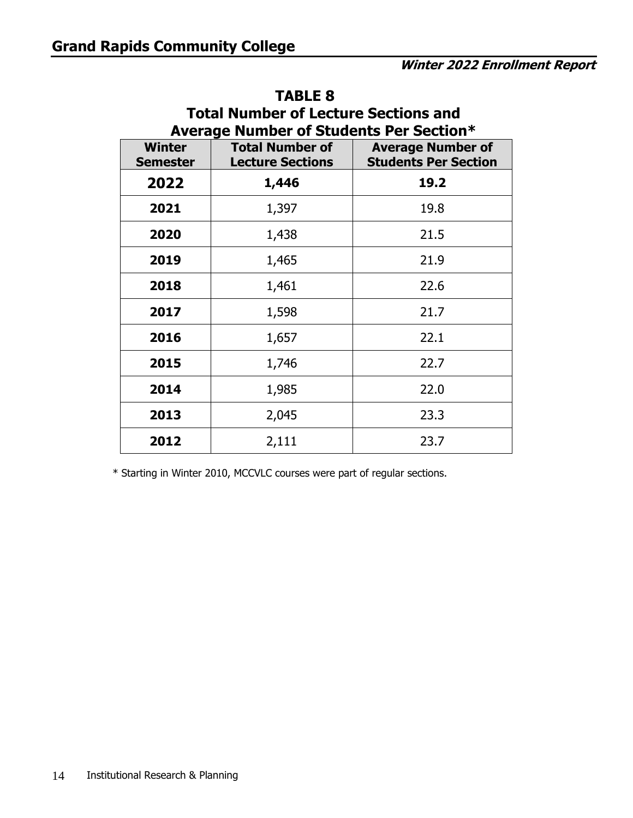| <b>Total Number of Lecture Sections and</b><br>Average Number of Students Per Section* |                                                   |                                                         |  |  |  |  |  |  |  |  |
|----------------------------------------------------------------------------------------|---------------------------------------------------|---------------------------------------------------------|--|--|--|--|--|--|--|--|
| <b>Winter</b><br><b>Semester</b>                                                       | <b>Total Number of</b><br><b>Lecture Sections</b> | <b>Average Number of</b><br><b>Students Per Section</b> |  |  |  |  |  |  |  |  |
| 2022                                                                                   | 1,446                                             | 19.2                                                    |  |  |  |  |  |  |  |  |
| 2021                                                                                   | 1,397                                             | 19.8                                                    |  |  |  |  |  |  |  |  |
| 2020                                                                                   | 1,438                                             | 21.5                                                    |  |  |  |  |  |  |  |  |
| 2019                                                                                   | 1,465                                             | 21.9                                                    |  |  |  |  |  |  |  |  |
| 2018                                                                                   | 1,461                                             | 22.6                                                    |  |  |  |  |  |  |  |  |
| 2017                                                                                   | 1,598                                             | 21.7                                                    |  |  |  |  |  |  |  |  |
| 2016                                                                                   | 1,657                                             | 22.1                                                    |  |  |  |  |  |  |  |  |
| 2015                                                                                   | 1,746                                             | 22.7                                                    |  |  |  |  |  |  |  |  |
| 2014                                                                                   | 1,985                                             | 22.0                                                    |  |  |  |  |  |  |  |  |
| 2013                                                                                   | 2,045                                             | 23.3                                                    |  |  |  |  |  |  |  |  |
| 2012                                                                                   | 2,111                                             | 23.7                                                    |  |  |  |  |  |  |  |  |

#### **TABLE 8**

\* Starting in Winter 2010, MCCVLC courses were part of regular sections.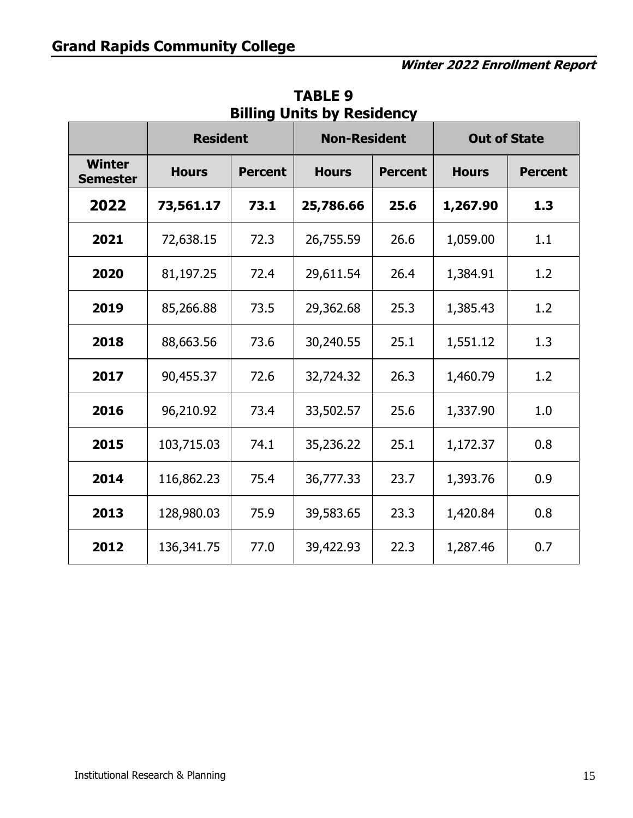|                                  | <b>Resident</b>   |                | <b>Non-Resident</b> |                | <b>Out of State</b> |                |  |  |
|----------------------------------|-------------------|----------------|---------------------|----------------|---------------------|----------------|--|--|
| <b>Winter</b><br><b>Semester</b> | <b>Hours</b>      | <b>Percent</b> | <b>Hours</b>        | <b>Percent</b> |                     | <b>Percent</b> |  |  |
| 2022                             | 73,561.17         | 73.1           | 25,786.66           | 25.6           |                     | 1.3            |  |  |
| 2021                             | 72,638.15<br>72.3 |                | 26,755.59           | 26.6           |                     | 1.1            |  |  |
| 2020                             | 81,197.25<br>72.4 |                | 29,611.54           | 26.4           | 1,384.91            | 1.2            |  |  |
| 2019                             | 85,266.88         |                | 29,362.68           | 25.3           | 1,385.43            | 1.2            |  |  |
| 2018                             | 88,663.56         |                | 30,240.55           | 25.1           | 1,551.12            | 1.3            |  |  |
| 2017                             | 90,455.37         | 72.6           | 32,724.32           | 26.3           | 1,460.79            | 1.2            |  |  |
| 2016                             | 96,210.92         | 73.4           | 33,502.57           | 25.6           | 1,337.90            | 1.0            |  |  |
| 2015                             | 103,715.03        | 74.1           | 35,236.22           | 25.1           | 1,172.37            | 0.8            |  |  |
| 2014                             | 116,862.23        | 75.4           | 36,777.33           | 23.7           | 1,393.76            | 0.9            |  |  |
| 2013                             | 128,980.03        | 75.9           | 39,583.65           | 23.3           | 1,420.84            |                |  |  |
| 2012                             | 136,341.75        | 77.0           | 39,422.93           | 22.3           | 1,287.46            | 0.7            |  |  |

**TABLE 9 Billing Units by Residency**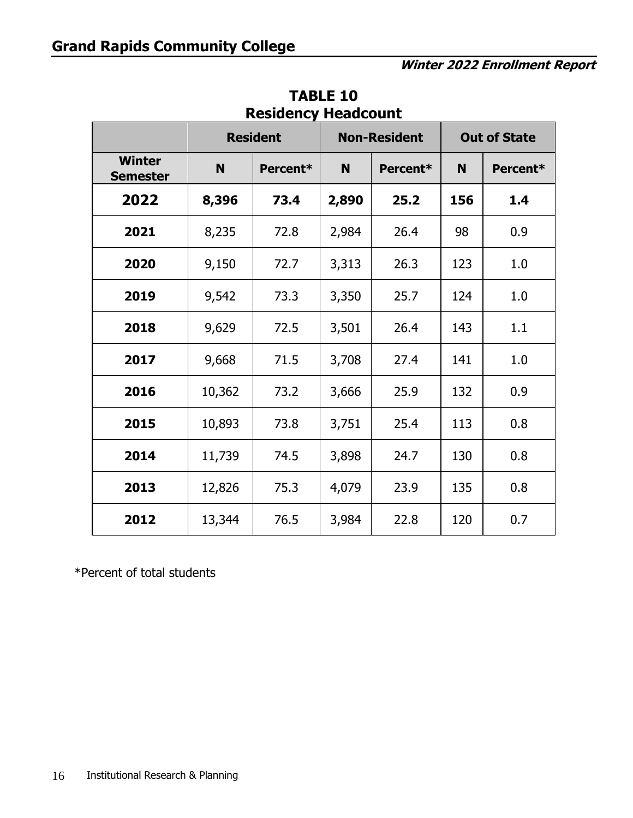|                                  |               | <b>Resident</b> |               | <b>Non-Resident</b> | <b>Out of State</b> |          |  |
|----------------------------------|---------------|-----------------|---------------|---------------------|---------------------|----------|--|
| <b>Winter</b><br><b>Semester</b> | N             | Percent*        | N             | Percent*            | N                   | Percent* |  |
| 2022                             | 8,396<br>73.4 |                 | 2,890         | 25.2                | 156                 | 1.4      |  |
| 2021                             | 8,235         | 72.8            | 2,984         | 26.4                | 98                  | 0.9      |  |
| 2020                             | 9,150         | 72.7            | 3,313<br>26.3 |                     | 123                 | 1.0      |  |
| 2019                             | 9,542         | 73.3            | 25.7<br>3,350 |                     | 124                 | 1.0      |  |
| 2018                             | 9,629         | 72.5            | 3,501         | 26.4                |                     | 1.1      |  |
| 2017                             | 9,668         | 71.5            | 3,708<br>27.4 |                     | 141                 | 1.0      |  |
| 2016                             | 10,362        | 73.2            | 25.9<br>3,666 |                     | 132                 | 0.9      |  |
| 2015                             | 10,893        | 73.8            | 3,751         | 25.4                | 113                 | 0.8      |  |
| 2014                             | 11,739        | 74.5            | 3,898         | 24.7                |                     | 0.8      |  |
| 2013                             | 12,826        | 75.3            | 4,079         | 23.9                | 135                 | 0.8      |  |
| 2012                             | 13,344        | 76.5            | 3,984         | 22.8                | 120                 | 0.7      |  |

**TABLE 10 Residency Headcount** 

\*Percent of total students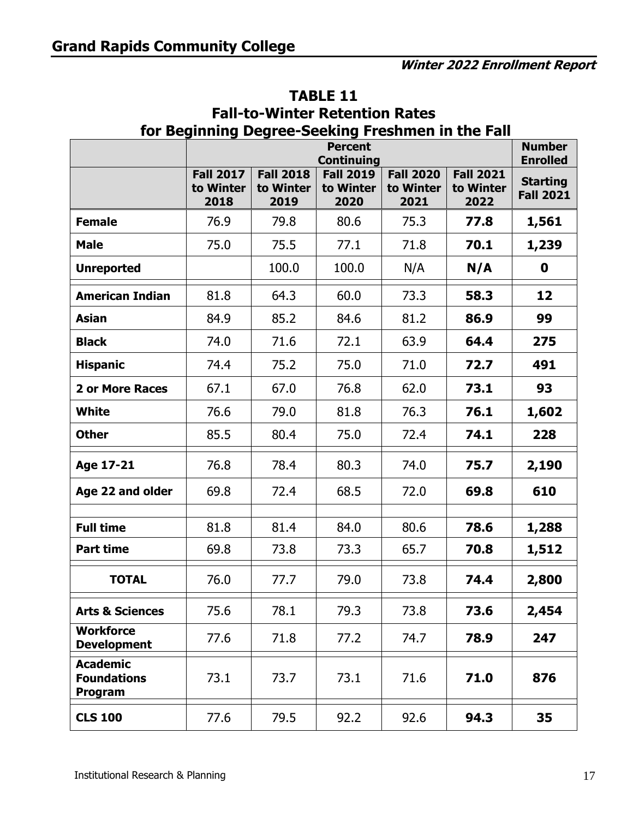| for Beginning Degree-Seeking Freshmen in the Fall<br><b>Number</b> |                                       |                                       |                                       |                                       |                                       |                                                        |  |  |  |  |  |  |
|--------------------------------------------------------------------|---------------------------------------|---------------------------------------|---------------------------------------|---------------------------------------|---------------------------------------|--------------------------------------------------------|--|--|--|--|--|--|
|                                                                    |                                       | <b>Percent</b><br><b>Continuing</b>   |                                       |                                       |                                       |                                                        |  |  |  |  |  |  |
|                                                                    | <b>Fall 2017</b><br>to Winter<br>2018 | <b>Fall 2018</b><br>to Winter<br>2019 | <b>Fall 2019</b><br>to Winter<br>2020 | <b>Fall 2020</b><br>to Winter<br>2021 | <b>Fall 2021</b><br>to Winter<br>2022 | <b>Enrolled</b><br><b>Starting</b><br><b>Fall 2021</b> |  |  |  |  |  |  |
| <b>Female</b>                                                      | 76.9                                  | 79.8                                  | 80.6                                  | 75.3                                  | 77.8                                  | 1,561                                                  |  |  |  |  |  |  |
| <b>Male</b>                                                        | 75.0                                  | 75.5                                  | 77.1                                  | 71.8                                  | 70.1                                  | 1,239                                                  |  |  |  |  |  |  |
| <b>Unreported</b>                                                  |                                       | 100.0                                 | 100.0                                 | N/A                                   | N/A                                   | 0                                                      |  |  |  |  |  |  |
| <b>American Indian</b>                                             | 81.8                                  | 64.3                                  | 60.0                                  | 73.3                                  | 58.3                                  | 12                                                     |  |  |  |  |  |  |
| <b>Asian</b>                                                       | 84.9                                  | 85.2                                  | 84.6                                  | 81.2                                  | 86.9                                  | 99                                                     |  |  |  |  |  |  |
| <b>Black</b>                                                       | 74.0                                  | 71.6                                  | 72.1                                  | 63.9                                  | 64.4                                  | 275                                                    |  |  |  |  |  |  |
| <b>Hispanic</b>                                                    | 74.4                                  | 75.2                                  | 75.0                                  | 71.0                                  | 72.7                                  | 491                                                    |  |  |  |  |  |  |
| <b>2 or More Races</b>                                             | 67.1                                  | 67.0                                  | 76.8                                  | 62.0                                  | 73.1                                  | 93                                                     |  |  |  |  |  |  |
| <b>White</b>                                                       | 76.6                                  | 79.0                                  | 81.8                                  | 76.3                                  | 76.1                                  | 1,602                                                  |  |  |  |  |  |  |
| <b>Other</b>                                                       | 85.5                                  | 80.4                                  | 75.0                                  | 72.4                                  | 74.1                                  | 228                                                    |  |  |  |  |  |  |
| Age 17-21                                                          | 76.8                                  | 78.4                                  | 80.3                                  | 74.0                                  | 75.7                                  | 2,190                                                  |  |  |  |  |  |  |
| Age 22 and older                                                   | 69.8                                  | 72.4                                  | 68.5                                  | 72.0                                  | 69.8                                  | 610                                                    |  |  |  |  |  |  |
| <b>Full time</b>                                                   | 81.8                                  | 81.4                                  | 84.0                                  | 80.6                                  | 78.6                                  | 1,288                                                  |  |  |  |  |  |  |
| <b>Part time</b>                                                   | 69.8                                  | 73.8                                  | 73.3                                  | 65.7                                  | 70.8                                  | 1,512                                                  |  |  |  |  |  |  |
| <b>TOTAL</b>                                                       | 76.0                                  | 77.7                                  | 79.0                                  | 73.8                                  | 74.4                                  | 2,800                                                  |  |  |  |  |  |  |
| <b>Arts &amp; Sciences</b>                                         | 75.6                                  | 78.1                                  | 79.3                                  | 73.8                                  | 73.6                                  | 2,454                                                  |  |  |  |  |  |  |
| <b>Workforce</b><br><b>Development</b>                             | 77.6                                  | 71.8                                  | 77.2                                  | 74.7                                  | 78.9                                  | 247                                                    |  |  |  |  |  |  |
| <b>Academic</b><br><b>Foundations</b><br>Program                   | 73.1                                  | 73.7                                  | 73.1                                  | 71.6                                  | 71.0                                  | 876                                                    |  |  |  |  |  |  |
| <b>CLS 100</b>                                                     | 77.6                                  | 79.5                                  | 92.2                                  | 92.6                                  | 94.3                                  | 35                                                     |  |  |  |  |  |  |

#### **TABLE 11 Fall-to-Winter Retention Rates**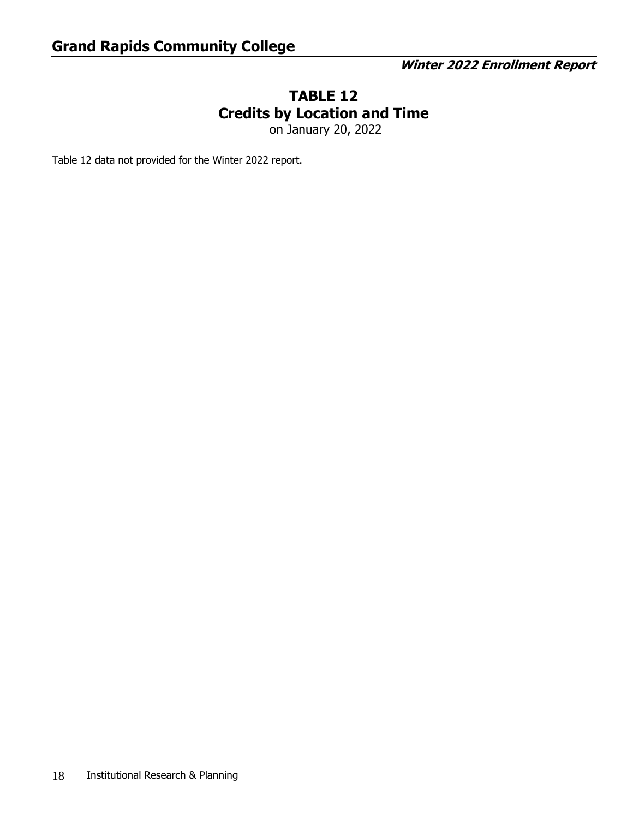#### **TABLE 12 Credits by Location and Time**

on January 20, 2022

Table 12 data not provided for the Winter 2022 report.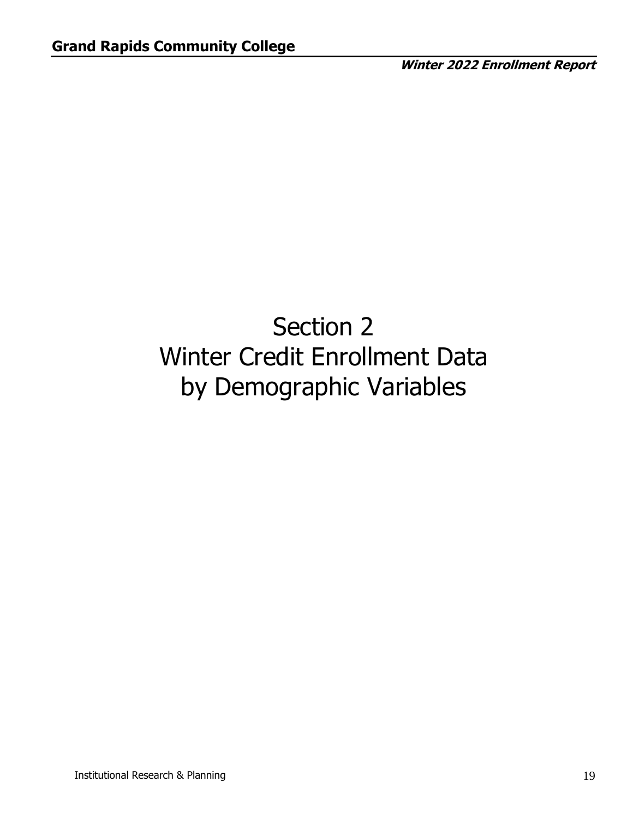# Section 2 Winter Credit Enrollment Data by Demographic Variables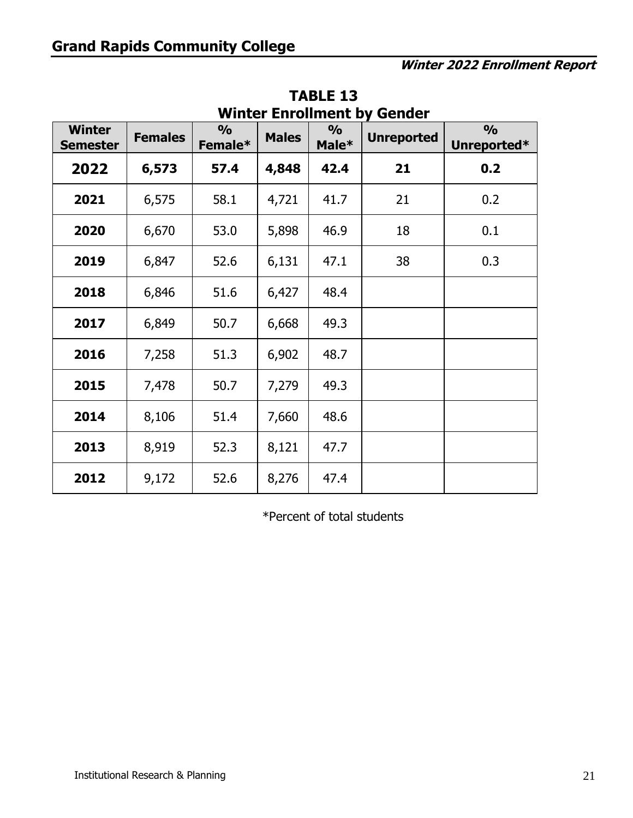| <b>Winter</b><br><b>Semester</b> | $\frac{1}{2}$<br>$\frac{0}{0}$<br><b>Females</b><br><b>Males</b><br>Female* |      | Male* | <b>Unreported</b> | $\frac{0}{0}$<br>Unreported* |     |
|----------------------------------|-----------------------------------------------------------------------------|------|-------|-------------------|------------------------------|-----|
| 2022                             | 6,573                                                                       | 57.4 | 4,848 | 42.4              | 21                           | 0.2 |
| 2021                             | 6,575                                                                       | 58.1 | 4,721 | 41.7              | 21                           | 0.2 |
| 2020                             | 6,670                                                                       | 53.0 | 5,898 | 46.9              | 18                           | 0.1 |
| 2019                             | 6,847                                                                       | 52.6 | 6,131 | 47.1              | 38                           | 0.3 |
| 2018                             | 6,846                                                                       | 51.6 | 6,427 | 48.4              |                              |     |
| 2017                             | 6,849                                                                       | 50.7 | 6,668 | 49.3              |                              |     |
| 2016                             | 7,258                                                                       | 51.3 | 6,902 | 48.7              |                              |     |
| 2015                             | 7,478                                                                       | 50.7 | 7,279 | 49.3              |                              |     |
| 2014                             | 8,106                                                                       | 51.4 | 7,660 | 48.6              |                              |     |
| 2013                             | 8,919                                                                       | 52.3 | 8,121 | 47.7              |                              |     |
| 2012                             | 9,172                                                                       | 52.6 | 8,276 | 47.4              |                              |     |

**TABLE 13 Winter Enrollment by Gender** 

\*Percent of total students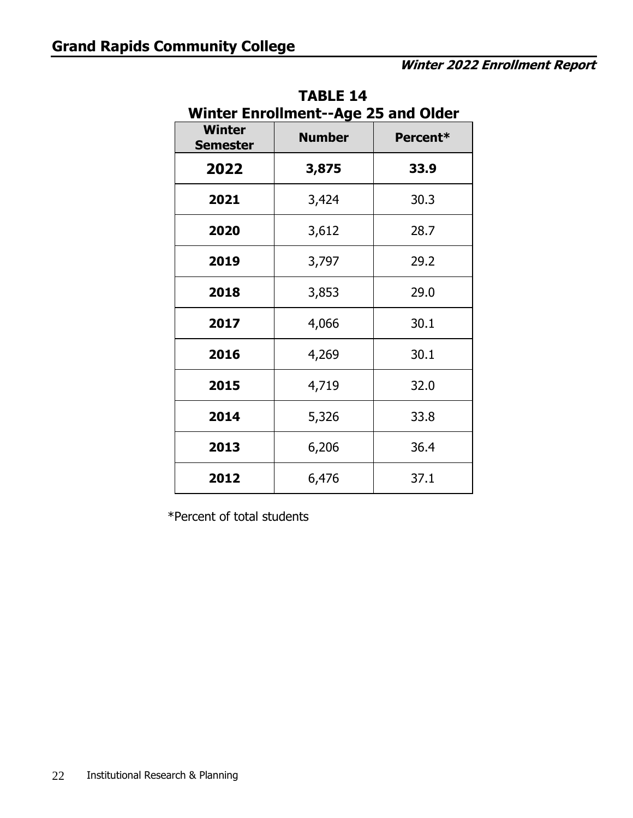| Winter Enrollment--Age 25 and Older |               |          |  |  |  |  |  |  |  |  |
|-------------------------------------|---------------|----------|--|--|--|--|--|--|--|--|
| <b>Winter</b><br><b>Semester</b>    | <b>Number</b> | Percent* |  |  |  |  |  |  |  |  |
| 2022                                | 3,875         | 33.9     |  |  |  |  |  |  |  |  |
| 2021                                | 3,424         | 30.3     |  |  |  |  |  |  |  |  |
| 2020                                | 3,612         | 28.7     |  |  |  |  |  |  |  |  |
| 2019                                | 3,797         | 29.2     |  |  |  |  |  |  |  |  |
| 2018                                | 3,853         | 29.0     |  |  |  |  |  |  |  |  |
| 2017                                | 4,066         | 30.1     |  |  |  |  |  |  |  |  |
| 2016                                | 4,269         | 30.1     |  |  |  |  |  |  |  |  |
| 2015                                | 4,719         | 32.0     |  |  |  |  |  |  |  |  |
| 2014                                | 5,326         | 33.8     |  |  |  |  |  |  |  |  |
| 2013                                | 6,206         | 36.4     |  |  |  |  |  |  |  |  |
| 2012                                | 6,476         | 37.1     |  |  |  |  |  |  |  |  |

**TABLE 14 Winter Enrollment--Age 25 and Older** 

\*Percent of total students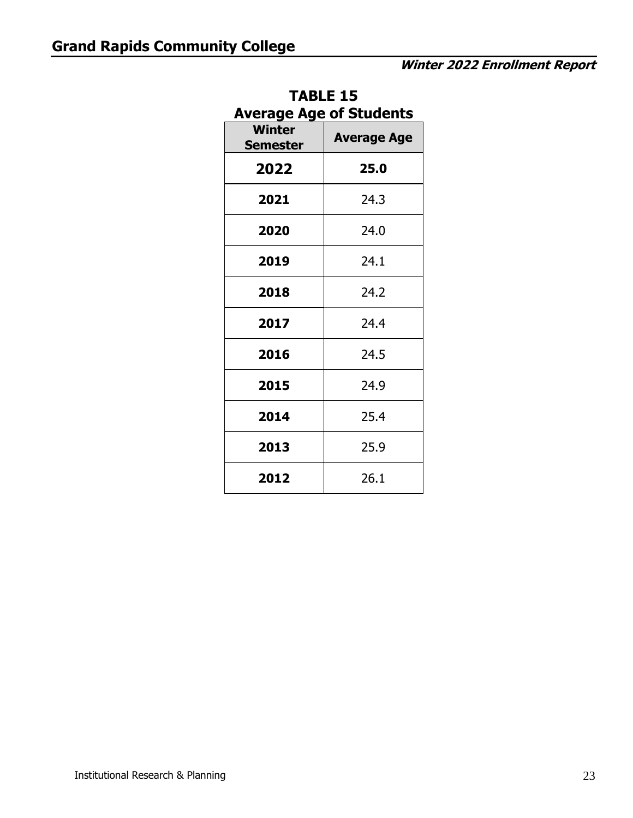| IABLE 19<br><b>Average Age of Students</b> |                    |  |  |  |  |  |  |  |  |
|--------------------------------------------|--------------------|--|--|--|--|--|--|--|--|
| <b>Winter</b><br><b>Semester</b>           | <b>Average Age</b> |  |  |  |  |  |  |  |  |
| 2022                                       | 25.0               |  |  |  |  |  |  |  |  |
| 2021                                       | 24.3               |  |  |  |  |  |  |  |  |
| 2020                                       | 24.0               |  |  |  |  |  |  |  |  |
| 2019                                       | 24.1               |  |  |  |  |  |  |  |  |
| 2018                                       | 24.2               |  |  |  |  |  |  |  |  |
| 2017                                       | 24.4               |  |  |  |  |  |  |  |  |
| 2016                                       | 24.5               |  |  |  |  |  |  |  |  |
| 2015                                       | 24.9               |  |  |  |  |  |  |  |  |
| 2014                                       | 25.4               |  |  |  |  |  |  |  |  |
| 2013                                       | 25.9               |  |  |  |  |  |  |  |  |
| 2012                                       | 26.1               |  |  |  |  |  |  |  |  |

# **TABLE 15**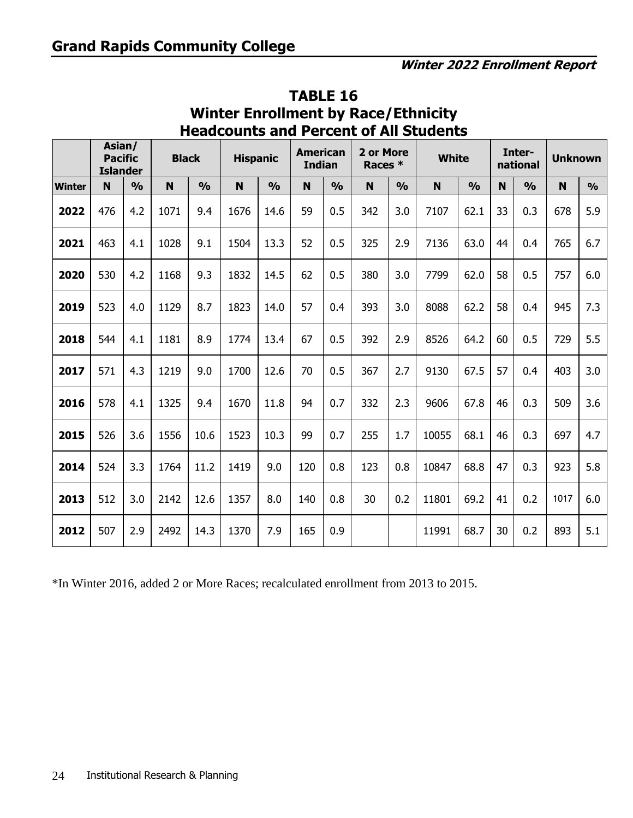|               | Asian/<br><b>Pacific</b><br><b>Islander</b> |               | <b>Black</b> |               | <b>Hispanic</b> |               | <b>American</b><br><b>Indian</b> |               | 2 or More<br>Races * |               | <b>White</b> |               |             | Inter-<br>national | <b>Unknown</b> |               |
|---------------|---------------------------------------------|---------------|--------------|---------------|-----------------|---------------|----------------------------------|---------------|----------------------|---------------|--------------|---------------|-------------|--------------------|----------------|---------------|
| <b>Winter</b> | N                                           | $\frac{0}{0}$ | $\mathbf N$  | $\frac{0}{0}$ | N               | $\frac{0}{0}$ | N                                | $\frac{1}{2}$ | $\mathbf N$          | $\frac{0}{0}$ | $\mathbf N$  | $\frac{0}{0}$ | $\mathbf N$ | $\frac{0}{0}$      | $\mathbf N$    | $\frac{0}{0}$ |
| 2022          | 476                                         | 4.2           | 1071         | 9.4           | 1676            | 14.6          | 59                               | 0.5           | 342                  | 3.0           | 7107         | 62.1          | 33          | 0.3                | 678            | 5.9           |
| 2021          | 463                                         | 4.1           | 1028         | 9.1           | 1504            | 13.3          | 52                               | 0.5           | 325                  | 2.9           | 7136         | 63.0          | 44          | 0.4                | 765            | 6.7           |
| 2020          | 530                                         | 4.2           | 1168         | 9.3           | 1832            | 14.5          | 62                               | 0.5           | 380                  | 3.0           | 7799         | 62.0          | 58          | 0.5                | 757            | 6.0           |
| 2019          | 523                                         | 4.0           | 1129         | 8.7           | 1823            | 14.0          | 57                               | 0.4           | 393                  | 3.0           | 8088         | 62.2          | 58          | 0.4                | 945            | 7.3           |
| 2018          | 544                                         | 4.1           | 1181         | 8.9           | 1774            | 13.4          | 67                               | 0.5           | 392                  | 2.9           | 8526         | 64.2          | 60          | 0.5                | 729            | 5.5           |
| 2017          | 571                                         | 4.3           | 1219         | 9.0           | 1700            | 12.6          | 70                               | 0.5           | 367                  | 2.7           | 9130         | 67.5          | 57          | 0.4                | 403            | 3.0           |
| 2016          | 578                                         | 4.1           | 1325         | 9.4           | 1670            | 11.8          | 94                               | 0.7           | 332                  | 2.3           | 9606         | 67.8          | 46          | 0.3                | 509            | 3.6           |
| 2015          | 526                                         | 3.6           | 1556         | 10.6          | 1523            | 10.3          | 99                               | 0.7           | 255                  | 1.7           | 10055        | 68.1          | 46          | 0.3                | 697            | 4.7           |
| 2014          | 524                                         | 3.3           | 1764         | 11.2          | 1419            | 9.0           | 120                              | 0.8           | 123                  | 0.8           | 10847        | 68.8          | 47          | 0.3                | 923            | 5.8           |
| 2013          | 512                                         | 3.0           | 2142         | 12.6          | 1357            | 8.0           | 140                              | 0.8           | 30                   | 0.2           | 11801        | 69.2          | 41          | 0.2                | 1017           | 6.0           |
| 2012          | 507                                         | 2.9           | 2492         | 14.3          | 1370            | 7.9           | 165                              | 0.9           |                      |               | 11991        | 68.7          | 30          | 0.2                | 893            | 5.1           |

#### **TABLE 16 Winter Enrollment by Race/Ethnicity Headcounts and Percent of All Students**

\*In Winter 2016, added 2 or More Races; recalculated enrollment from 2013 to 2015.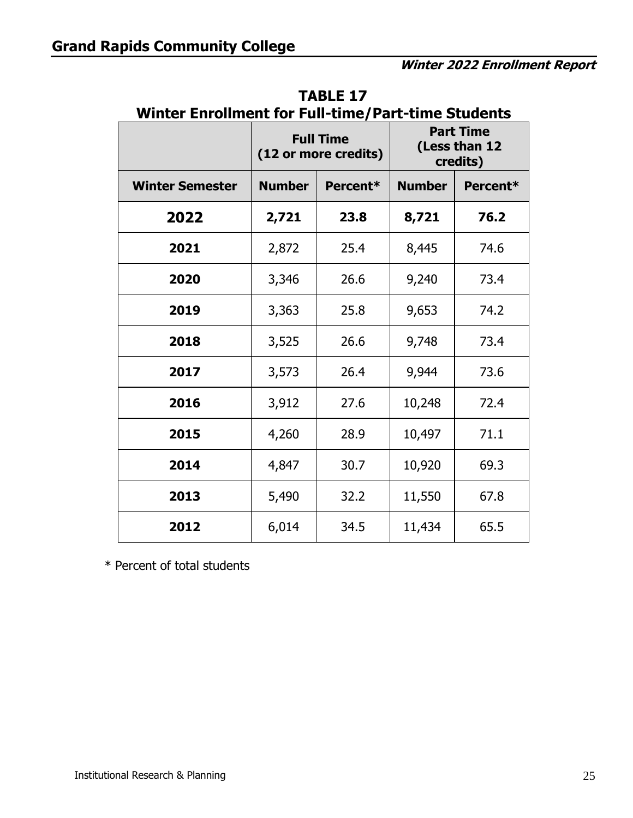|                        |               | <b>Full Time</b><br>(12 or more credits) | winter Enrollment for Full-time/Part-time Students<br><b>Part Time</b><br>(Less than 12<br>credits) |          |
|------------------------|---------------|------------------------------------------|-----------------------------------------------------------------------------------------------------|----------|
| <b>Winter Semester</b> | <b>Number</b> | Percent*                                 | <b>Number</b>                                                                                       | Percent* |
| 2022                   | 2,721         | 23.8                                     | 8,721                                                                                               | 76.2     |
| 2021                   | 2,872         | 25.4                                     | 8,445                                                                                               | 74.6     |
| 2020                   | 3,346         | 26.6                                     | 9,240                                                                                               | 73.4     |
| 2019                   | 3,363         | 25.8                                     | 9,653                                                                                               | 74.2     |
| 2018                   | 3,525         | 26.6                                     | 9,748                                                                                               | 73.4     |
| 2017                   | 3,573         | 26.4                                     | 9,944                                                                                               | 73.6     |
| 2016                   | 3,912         | 27.6                                     | 10,248                                                                                              | 72.4     |
| 2015                   | 4,260         | 28.9                                     | 10,497                                                                                              | 71.1     |
| 2014                   | 4,847         | 30.7                                     | 10,920                                                                                              | 69.3     |
| 2013                   | 5,490         | 32.2                                     | 11,550                                                                                              | 67.8     |
| 2012                   | 6,014         | 34.5                                     | 11,434                                                                                              | 65.5     |

**TABLE 17 Winter Enrollment for Full-time/Part-time Students** 

\* Percent of total students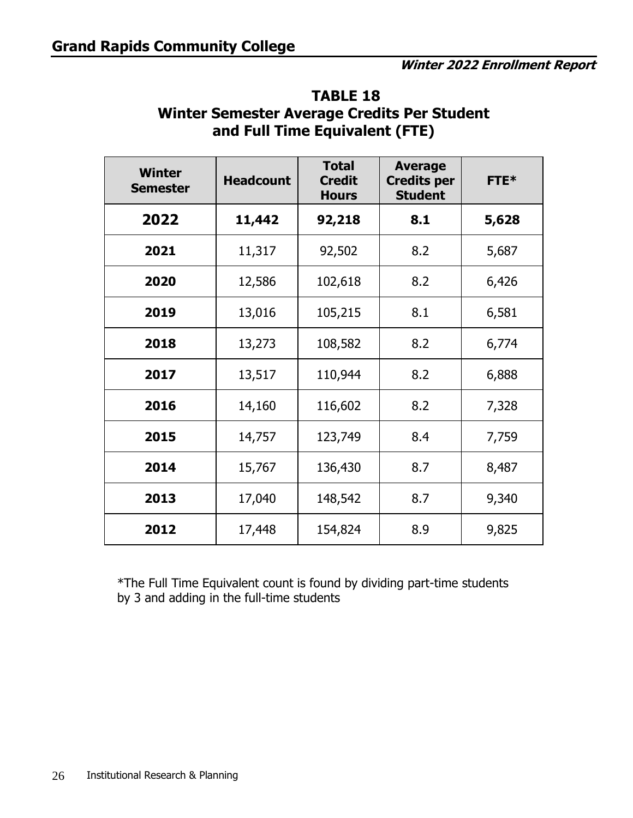| <b>Winter</b><br><b>Semester</b> | <b>Headcount</b> | <b>Total</b><br><b>Credit</b><br><b>Hours</b> | <b>Average</b><br><b>Credits per</b><br><b>Student</b> | <b>FTE*</b> |
|----------------------------------|------------------|-----------------------------------------------|--------------------------------------------------------|-------------|
| 2022                             | 11,442           | 92,218                                        | 8.1                                                    | 5,628       |
| 2021                             | 11,317           | 92,502                                        | 8.2                                                    | 5,687       |
| 2020                             | 12,586           | 102,618                                       | 8.2                                                    | 6,426       |
| 2019                             | 13,016           | 105,215                                       | 8.1                                                    | 6,581       |
| 2018                             | 13,273           | 108,582                                       | 8.2                                                    | 6,774       |
| 2017                             | 13,517           | 110,944                                       | 8.2                                                    | 6,888       |
| 2016                             | 14,160           | 116,602                                       | 8.2                                                    | 7,328       |
| 2015                             | 14,757           | 123,749                                       | 8.4                                                    | 7,759       |
| 2014                             | 15,767           | 136,430                                       | 8.7                                                    | 8,487       |
| 2013                             | 17,040           | 148,542                                       | 8.7                                                    | 9,340       |
| 2012                             | 17,448           | 154,824                                       | 8.9                                                    | 9,825       |

#### **TABLE 18 Winter Semester Average Credits Per Student and Full Time Equivalent (FTE)**

\*The Full Time Equivalent count is found by dividing part-time students by 3 and adding in the full-time students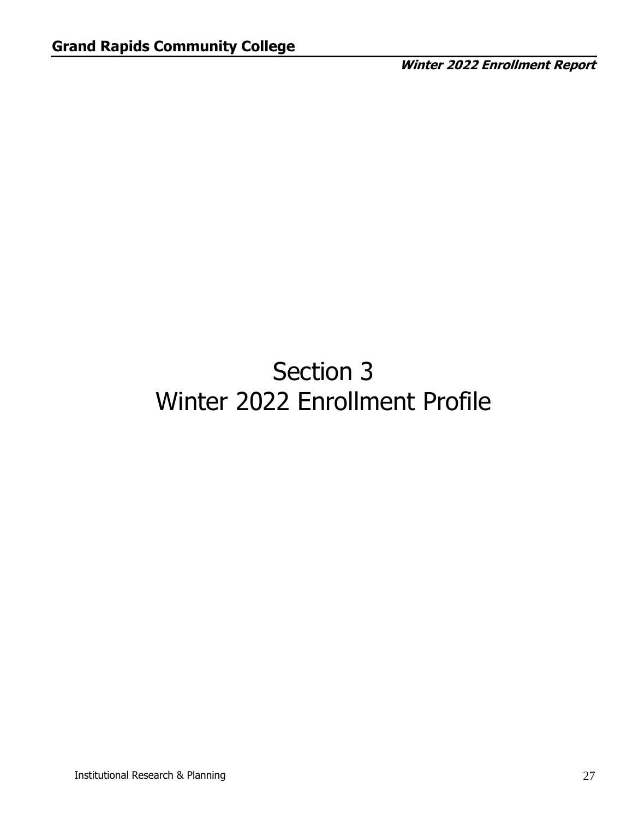# Section 3 Winter 2022 Enrollment Profile